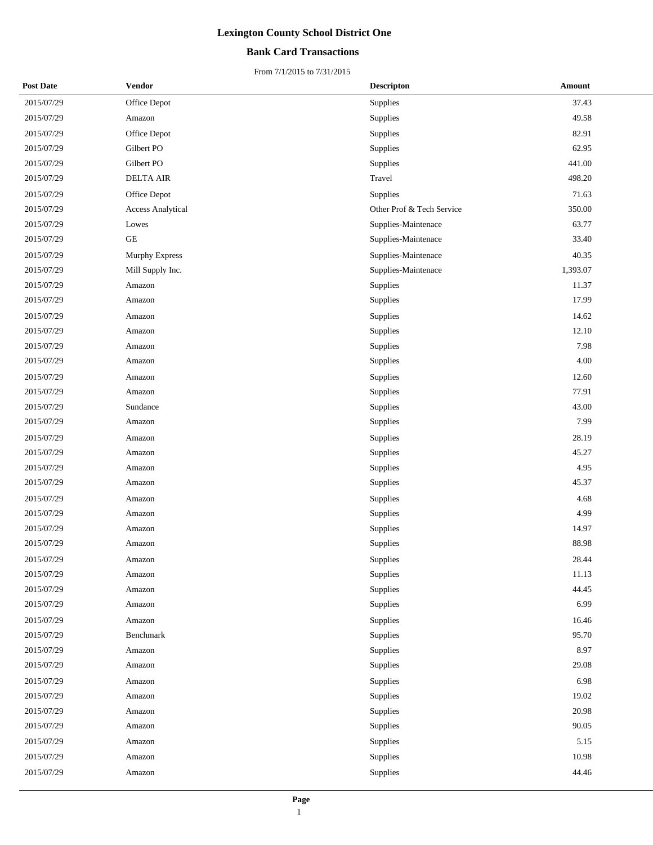## **Bank Card Transactions**

| <b>Post Date</b> | Vendor                   | <b>Descripton</b>         | Amount   |  |
|------------------|--------------------------|---------------------------|----------|--|
| 2015/07/29       | Office Depot             | Supplies                  | 37.43    |  |
| 2015/07/29       | Amazon                   | Supplies                  | 49.58    |  |
| 2015/07/29       | Office Depot             | Supplies                  | 82.91    |  |
| 2015/07/29       | Gilbert PO               | Supplies                  | 62.95    |  |
| 2015/07/29       | Gilbert PO               | Supplies                  | 441.00   |  |
| 2015/07/29       | <b>DELTA AIR</b>         | Travel                    | 498.20   |  |
| 2015/07/29       | Office Depot             | Supplies                  | 71.63    |  |
| 2015/07/29       | <b>Access Analytical</b> | Other Prof & Tech Service | 350.00   |  |
| 2015/07/29       | Lowes                    | Supplies-Maintenace       | 63.77    |  |
| 2015/07/29       | $\operatorname{GE}$      | Supplies-Maintenace       | 33.40    |  |
| 2015/07/29       | Murphy Express           | Supplies-Maintenace       | 40.35    |  |
| 2015/07/29       | Mill Supply Inc.         | Supplies-Maintenace       | 1,393.07 |  |
| 2015/07/29       | Amazon                   | Supplies                  | 11.37    |  |
| 2015/07/29       | Amazon                   | Supplies                  | 17.99    |  |
| 2015/07/29       | Amazon                   | Supplies                  | 14.62    |  |
| 2015/07/29       | Amazon                   | Supplies                  | 12.10    |  |
| 2015/07/29       | Amazon                   | Supplies                  | 7.98     |  |
| 2015/07/29       | Amazon                   | Supplies                  | 4.00     |  |
| 2015/07/29       | Amazon                   | Supplies                  | 12.60    |  |
| 2015/07/29       | Amazon                   | Supplies                  | 77.91    |  |
| 2015/07/29       | Sundance                 | Supplies                  | 43.00    |  |
| 2015/07/29       | Amazon                   | Supplies                  | 7.99     |  |
| 2015/07/29       | Amazon                   | Supplies                  | 28.19    |  |
| 2015/07/29       | Amazon                   | Supplies                  | 45.27    |  |
| 2015/07/29       | Amazon                   | Supplies                  | 4.95     |  |
| 2015/07/29       | Amazon                   | Supplies                  | 45.37    |  |
| 2015/07/29       | Amazon                   | Supplies                  | 4.68     |  |
| 2015/07/29       | Amazon                   | Supplies                  | 4.99     |  |
| 2015/07/29       | Amazon                   | Supplies                  | 14.97    |  |
| 2015/07/29       | Amazon                   | Supplies                  | 88.98    |  |
| 2015/07/29       | Amazon                   | Supplies                  | 28.44    |  |
| 2015/07/29       | Amazon                   | Supplies                  | 11.13    |  |
| 2015/07/29       | Amazon                   | Supplies                  | 44.45    |  |
| 2015/07/29       | Amazon                   | Supplies                  | 6.99     |  |
| 2015/07/29       | Amazon                   | Supplies                  | 16.46    |  |
| 2015/07/29       | Benchmark                | Supplies                  | 95.70    |  |
| 2015/07/29       | Amazon                   | Supplies                  | 8.97     |  |
| 2015/07/29       | Amazon                   | Supplies                  | 29.08    |  |
| 2015/07/29       | Amazon                   | Supplies                  | 6.98     |  |
| 2015/07/29       | Amazon                   | Supplies                  | 19.02    |  |
| 2015/07/29       | Amazon                   | Supplies                  | 20.98    |  |
| 2015/07/29       | Amazon                   | Supplies                  | 90.05    |  |
| 2015/07/29       | Amazon                   | Supplies                  | 5.15     |  |
| 2015/07/29       | Amazon                   | Supplies                  | 10.98    |  |
| 2015/07/29       | Amazon                   | Supplies                  | 44.46    |  |
|                  |                          |                           |          |  |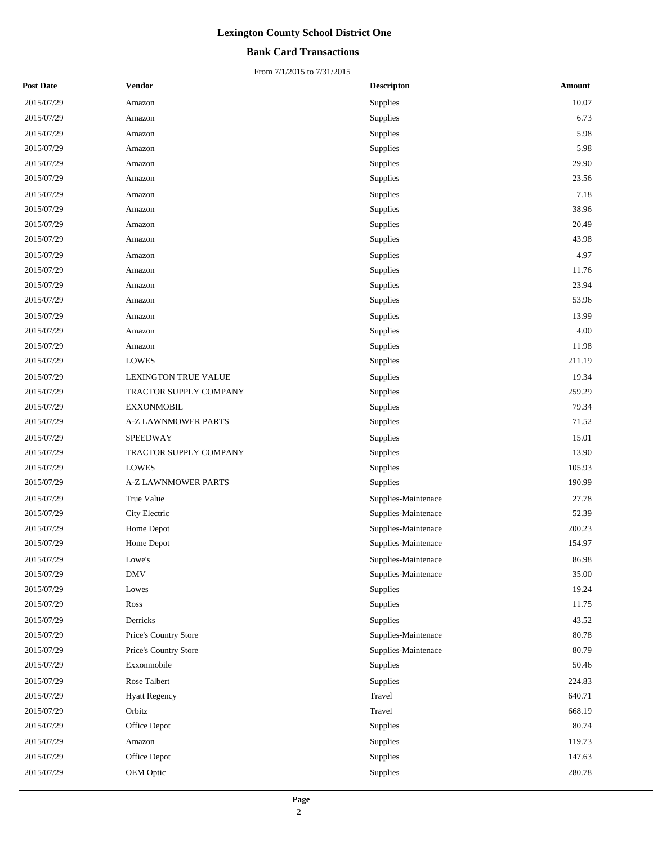### **Bank Card Transactions**

| <b>Post Date</b> | Vendor                 | <b>Descripton</b>   | Amount |
|------------------|------------------------|---------------------|--------|
| 2015/07/29       | Amazon                 | Supplies            | 10.07  |
| 2015/07/29       | Amazon                 | Supplies            | 6.73   |
| 2015/07/29       | Amazon                 | Supplies            | 5.98   |
| 2015/07/29       | Amazon                 | Supplies            | 5.98   |
| 2015/07/29       | Amazon                 | Supplies            | 29.90  |
| 2015/07/29       | Amazon                 | Supplies            | 23.56  |
| 2015/07/29       | Amazon                 | Supplies            | 7.18   |
| 2015/07/29       | Amazon                 | Supplies            | 38.96  |
| 2015/07/29       | Amazon                 | Supplies            | 20.49  |
| 2015/07/29       | Amazon                 | Supplies            | 43.98  |
| 2015/07/29       | Amazon                 | Supplies            | 4.97   |
| 2015/07/29       | Amazon                 | Supplies            | 11.76  |
| 2015/07/29       | Amazon                 | Supplies            | 23.94  |
| 2015/07/29       | Amazon                 | Supplies            | 53.96  |
| 2015/07/29       | Amazon                 | Supplies            | 13.99  |
| 2015/07/29       | Amazon                 | Supplies            | 4.00   |
| 2015/07/29       | Amazon                 | Supplies            | 11.98  |
| 2015/07/29       | <b>LOWES</b>           | Supplies            | 211.19 |
| 2015/07/29       | LEXINGTON TRUE VALUE   | Supplies            | 19.34  |
| 2015/07/29       | TRACTOR SUPPLY COMPANY | <b>Supplies</b>     | 259.29 |
| 2015/07/29       | <b>EXXONMOBIL</b>      | Supplies            | 79.34  |
| 2015/07/29       | A-Z LAWNMOWER PARTS    | Supplies            | 71.52  |
| 2015/07/29       | SPEEDWAY               | Supplies            | 15.01  |
| 2015/07/29       | TRACTOR SUPPLY COMPANY | Supplies            | 13.90  |
| 2015/07/29       | <b>LOWES</b>           | Supplies            | 105.93 |
| 2015/07/29       | A-Z LAWNMOWER PARTS    | Supplies            | 190.99 |
| 2015/07/29       | True Value             | Supplies-Maintenace | 27.78  |
| 2015/07/29       | City Electric          | Supplies-Maintenace | 52.39  |
| 2015/07/29       | Home Depot             | Supplies-Maintenace | 200.23 |
| 2015/07/29       | Home Depot             | Supplies-Maintenace | 154.97 |
| 2015/07/29       | Lowe's                 | Supplies-Maintenace | 86.98  |
| 2015/07/29       | <b>DMV</b>             | Supplies-Maintenace | 35.00  |
| 2015/07/29       | Lowes                  | Supplies            | 19.24  |
| 2015/07/29       | Ross                   | Supplies            | 11.75  |
| 2015/07/29       | Derricks               | Supplies            | 43.52  |
| 2015/07/29       | Price's Country Store  | Supplies-Maintenace | 80.78  |
| 2015/07/29       | Price's Country Store  | Supplies-Maintenace | 80.79  |
| 2015/07/29       | Exxonmobile            | Supplies            | 50.46  |
| 2015/07/29       | Rose Talbert           | Supplies            | 224.83 |
| 2015/07/29       | <b>Hyatt Regency</b>   | Travel              | 640.71 |
| 2015/07/29       | Orbitz                 | Travel              | 668.19 |
| 2015/07/29       | Office Depot           | Supplies            | 80.74  |
| 2015/07/29       | Amazon                 | Supplies            | 119.73 |
| 2015/07/29       | Office Depot           | Supplies            | 147.63 |
| 2015/07/29       | OEM Optic              | Supplies            | 280.78 |
|                  |                        |                     |        |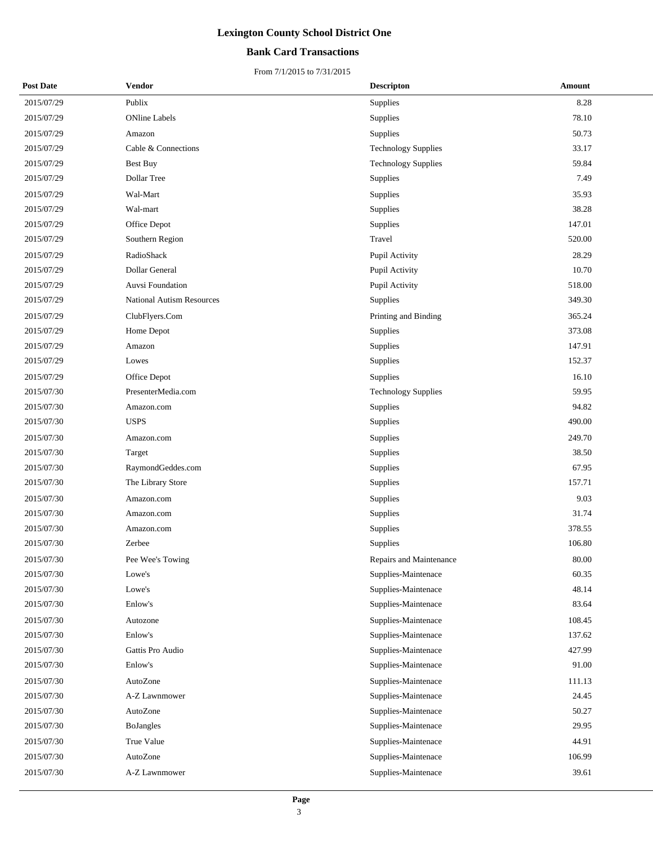## **Bank Card Transactions**

| <b>Post Date</b> | Vendor                           | <b>Descripton</b>          | Amount |
|------------------|----------------------------------|----------------------------|--------|
| 2015/07/29       | Publix                           | Supplies                   | 8.28   |
| 2015/07/29       | <b>ONline Labels</b>             | Supplies                   | 78.10  |
| 2015/07/29       | Amazon                           | Supplies                   | 50.73  |
| 2015/07/29       | Cable & Connections              | <b>Technology Supplies</b> | 33.17  |
| 2015/07/29       | Best Buy                         | <b>Technology Supplies</b> | 59.84  |
| 2015/07/29       | Dollar Tree                      | Supplies                   | 7.49   |
| 2015/07/29       | Wal-Mart                         | Supplies                   | 35.93  |
| 2015/07/29       | Wal-mart                         | Supplies                   | 38.28  |
| 2015/07/29       | Office Depot                     | Supplies                   | 147.01 |
| 2015/07/29       | Southern Region                  | Travel                     | 520.00 |
| 2015/07/29       | RadioShack                       | Pupil Activity             | 28.29  |
| 2015/07/29       | Dollar General                   | Pupil Activity             | 10.70  |
| 2015/07/29       | Auvsi Foundation                 | Pupil Activity             | 518.00 |
| 2015/07/29       | <b>National Autism Resources</b> | Supplies                   | 349.30 |
| 2015/07/29       | ClubFlyers.Com                   | Printing and Binding       | 365.24 |
| 2015/07/29       | Home Depot                       | Supplies                   | 373.08 |
| 2015/07/29       | Amazon                           | Supplies                   | 147.91 |
| 2015/07/29       | Lowes                            | Supplies                   | 152.37 |
| 2015/07/29       | Office Depot                     | Supplies                   | 16.10  |
| 2015/07/30       | PresenterMedia.com               | <b>Technology Supplies</b> | 59.95  |
| 2015/07/30       | Amazon.com                       | Supplies                   | 94.82  |
| 2015/07/30       | <b>USPS</b>                      | Supplies                   | 490.00 |
| 2015/07/30       | Amazon.com                       | Supplies                   | 249.70 |
| 2015/07/30       | Target                           | Supplies                   | 38.50  |
| 2015/07/30       | RaymondGeddes.com                | Supplies                   | 67.95  |
| 2015/07/30       | The Library Store                | Supplies                   | 157.71 |
| 2015/07/30       | Amazon.com                       | Supplies                   | 9.03   |
| 2015/07/30       | Amazon.com                       | Supplies                   | 31.74  |
| 2015/07/30       | Amazon.com                       | Supplies                   | 378.55 |
| 2015/07/30       | Zerbee                           | Supplies                   | 106.80 |
| 2015/07/30       | Pee Wee's Towing                 | Repairs and Maintenance    | 80.00  |
| 2015/07/30       | Lowe's                           | Supplies-Maintenace        | 60.35  |
| 2015/07/30       | Lowe's                           | Supplies-Maintenace        | 48.14  |
| 2015/07/30       | Enlow's                          | Supplies-Maintenace        | 83.64  |
| 2015/07/30       | Autozone                         | Supplies-Maintenace        | 108.45 |
| 2015/07/30       | Enlow's                          | Supplies-Maintenace        | 137.62 |
| 2015/07/30       | Gattis Pro Audio                 | Supplies-Maintenace        | 427.99 |
| 2015/07/30       | Enlow's                          | Supplies-Maintenace        | 91.00  |
| 2015/07/30       | AutoZone                         | Supplies-Maintenace        | 111.13 |
| 2015/07/30       | A-Z Lawnmower                    | Supplies-Maintenace        | 24.45  |
| 2015/07/30       | AutoZone                         | Supplies-Maintenace        | 50.27  |
| 2015/07/30       | BoJangles                        | Supplies-Maintenace        | 29.95  |
| 2015/07/30       | True Value                       | Supplies-Maintenace        | 44.91  |
| 2015/07/30       | AutoZone                         | Supplies-Maintenace        | 106.99 |
| 2015/07/30       | A-Z Lawnmower                    | Supplies-Maintenace        | 39.61  |
|                  |                                  |                            |        |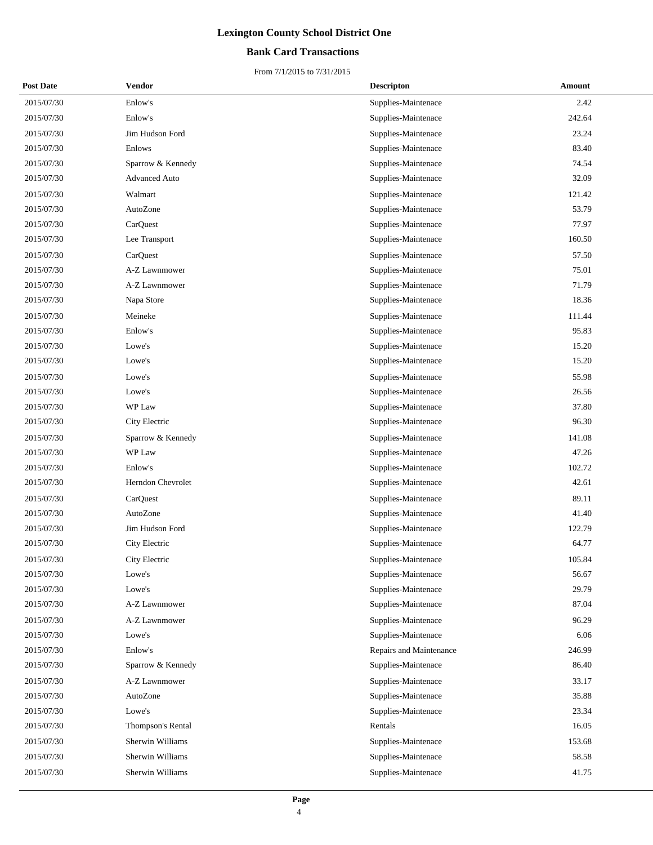## **Bank Card Transactions**

| <b>Post Date</b> | <b>Vendor</b>     | <b>Descripton</b>       | Amount |
|------------------|-------------------|-------------------------|--------|
| 2015/07/30       | Enlow's           | Supplies-Maintenace     | 2.42   |
| 2015/07/30       | Enlow's           | Supplies-Maintenace     | 242.64 |
| 2015/07/30       | Jim Hudson Ford   | Supplies-Maintenace     | 23.24  |
| 2015/07/30       | Enlows            | Supplies-Maintenace     | 83.40  |
| 2015/07/30       | Sparrow & Kennedy | Supplies-Maintenace     | 74.54  |
| 2015/07/30       | Advanced Auto     | Supplies-Maintenace     | 32.09  |
| 2015/07/30       | Walmart           | Supplies-Maintenace     | 121.42 |
| 2015/07/30       | AutoZone          | Supplies-Maintenace     | 53.79  |
| 2015/07/30       | CarQuest          | Supplies-Maintenace     | 77.97  |
| 2015/07/30       | Lee Transport     | Supplies-Maintenace     | 160.50 |
| 2015/07/30       | CarQuest          | Supplies-Maintenace     | 57.50  |
| 2015/07/30       | A-Z Lawnmower     | Supplies-Maintenace     | 75.01  |
| 2015/07/30       | A-Z Lawnmower     | Supplies-Maintenace     | 71.79  |
| 2015/07/30       | Napa Store        | Supplies-Maintenace     | 18.36  |
| 2015/07/30       | Meineke           | Supplies-Maintenace     | 111.44 |
| 2015/07/30       | Enlow's           | Supplies-Maintenace     | 95.83  |
| 2015/07/30       | Lowe's            | Supplies-Maintenace     | 15.20  |
| 2015/07/30       | Lowe's            | Supplies-Maintenace     | 15.20  |
| 2015/07/30       | Lowe's            | Supplies-Maintenace     | 55.98  |
| 2015/07/30       | Lowe's            | Supplies-Maintenace     | 26.56  |
| 2015/07/30       | WP Law            | Supplies-Maintenace     | 37.80  |
| 2015/07/30       | City Electric     | Supplies-Maintenace     | 96.30  |
| 2015/07/30       | Sparrow & Kennedy | Supplies-Maintenace     | 141.08 |
| 2015/07/30       | WP Law            | Supplies-Maintenace     | 47.26  |
| 2015/07/30       | Enlow's           | Supplies-Maintenace     | 102.72 |
| 2015/07/30       | Herndon Chevrolet | Supplies-Maintenace     | 42.61  |
| 2015/07/30       | CarQuest          | Supplies-Maintenace     | 89.11  |
| 2015/07/30       | AutoZone          | Supplies-Maintenace     | 41.40  |
| 2015/07/30       | Jim Hudson Ford   | Supplies-Maintenace     | 122.79 |
| 2015/07/30       | City Electric     | Supplies-Maintenace     | 64.77  |
| 2015/07/30       | City Electric     | Supplies-Maintenace     | 105.84 |
| 2015/07/30       | Lowe's            | Supplies-Maintenace     | 56.67  |
| 2015/07/30       | Lowe's            | Supplies-Maintenace     | 29.79  |
| 2015/07/30       | A-Z Lawnmower     | Supplies-Maintenace     | 87.04  |
| 2015/07/30       | A-Z Lawnmower     | Supplies-Maintenace     | 96.29  |
| 2015/07/30       | Lowe's            | Supplies-Maintenace     | 6.06   |
| 2015/07/30       | Enlow's           | Repairs and Maintenance | 246.99 |
| 2015/07/30       | Sparrow & Kennedy | Supplies-Maintenace     | 86.40  |
| 2015/07/30       | A-Z Lawnmower     | Supplies-Maintenace     | 33.17  |
| 2015/07/30       | AutoZone          | Supplies-Maintenace     | 35.88  |
| 2015/07/30       | Lowe's            | Supplies-Maintenace     | 23.34  |
| 2015/07/30       | Thompson's Rental | Rentals                 | 16.05  |
| 2015/07/30       | Sherwin Williams  | Supplies-Maintenace     | 153.68 |
| 2015/07/30       | Sherwin Williams  | Supplies-Maintenace     | 58.58  |
| 2015/07/30       | Sherwin Williams  | Supplies-Maintenace     | 41.75  |
|                  |                   |                         |        |